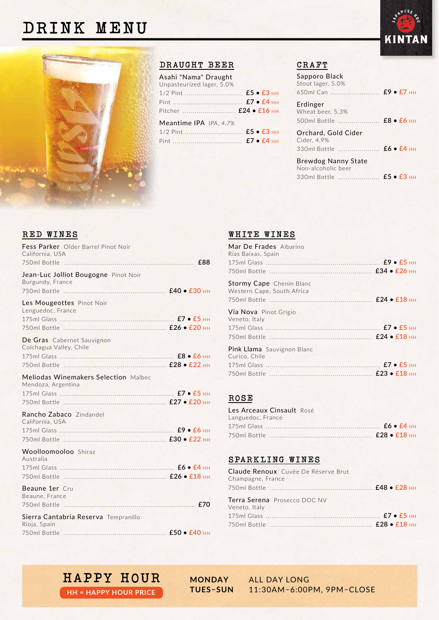## **DRINK MENU**



#### **DRAUGHT BEER**

| Asahi "Nama" Draught      |  |
|---------------------------|--|
| Unpasteurized lager, 5.0% |  |
|                           |  |
|                           |  |
|                           |  |
| Meantime IPA IPA, 4.7%    |  |
|                           |  |
|                           |  |
|                           |  |

#### **CRAFT**

| Sapporo Black<br>Stout lager, 5.0%                                                 |  |
|------------------------------------------------------------------------------------|--|
| 650ml Can  £9 • £7 нн                                                              |  |
| Erdinger<br>Wheat beer, 5.3%<br>500ml Bottle <b>£8 • £6 нн</b>                     |  |
| Orchard, Gold Cider<br>Cider, 4.9%<br>330ml Bottle <b>£6 · £4 HH</b>               |  |
| <b>Brewdog Nanny State</b><br>Non-alcoholic beer<br>330ml Bottle <b>£5 • £3</b> нн |  |

#### **RED WINES**

| Fess Parker Older Barrel Pinot Noir<br>California, USA     | £88 |
|------------------------------------------------------------|-----|
| Jean-Luc Jolliot Bougogne Pinot Noir<br>Burgundy, France   |     |
| Les Mougeottes Pinot Noir<br>Lenguedoc, France             |     |
| De Gras Cabernet Sauvignon<br>Colchagua Valley, Chile      |     |
| Meliodas Winemakers Selection Malbec<br>Mendoza, Argentina |     |
| Rancho Zabaco Zindandel<br>California, USA                 |     |
| Woolloomooloo Shiraz<br>Australia                          |     |
| Beaune 1er Cru<br>Beaune, France                           |     |
| Sierra Cantabria Reserva Tempranillo<br>Rioja, Spain       |     |

#### **WHITE WINES**

| Mar De Frades Albarino<br>Rias Baixas, Spain                  |  |
|---------------------------------------------------------------|--|
|                                                               |  |
| <b>Stormy Cape</b> Chenin Blanc<br>Western Cape, South Africa |  |
| Via Nova Pinot Grigio<br>Veneto, Italy                        |  |
| Pink Llama Sauvignon Blanc<br>Curico, Chile                   |  |
|                                                               |  |

#### **ROSÉ**

| Les Arceaux Cinsault Rosé |  |
|---------------------------|--|
| Languedoc, France         |  |
|                           |  |
|                           |  |

#### **SPARKLING WINES**

# **HAPPY HOUR MONDAY** ALL DAY LONG

**HH = HAPPY HOUR PRICE**

11:30AM-6:00PM, 9PM-CLOSE